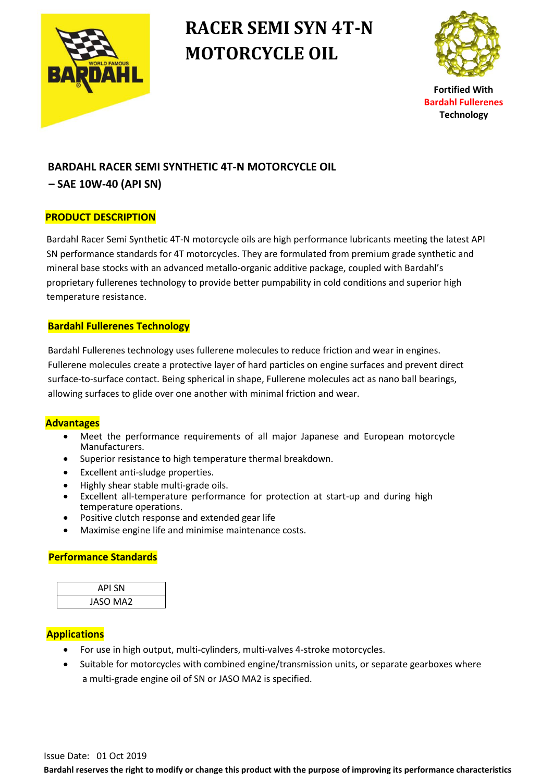

# **RACER SEMI SYN 4T-N MOTORCYCLE OIL**



**Fortified With Bardahl Fullerenes Technology**

### **BARDAHL RACER SEMI SYNTHETIC 4T-N MOTORCYCLE OIL**

**– SAE 10W-40 (API SN)**

#### **PRODUCT DESCRIPTION**

Bardahl Racer Semi Synthetic 4T-N motorcycle oils are high performance lubricants meeting the latest API SN performance standards for 4T motorcycles. They are formulated from premium grade synthetic and mineral base stocks with an advanced metallo-organic additive package, coupled with Bardahl's proprietary fullerenes technology to provide better pumpability in cold conditions and superior high temperature resistance.

#### **Bardahl Fullerenes Technology**

 Bardahl Fullerenes technology uses fullerene molecules to reduce friction and wear in engines. Fullerene molecules create a protective layer of hard particles on engine surfaces and prevent direct surface-to-surface contact. Being spherical in shape, Fullerene molecules act as nano ball bearings, allowing surfaces to glide over one another with minimal friction and wear.

#### **Advantages**

- Meet the performance requirements of all major Japanese and European motorcycle Manufacturers.
- Superior resistance to high temperature thermal breakdown.
- Excellent anti-sludge properties.
- Highly shear stable multi-grade oils.
- Excellent all-temperature performance for protection at start-up and during high temperature operations.
- Positive clutch response and extended gear life
- Maximise engine life and minimise maintenance costs.

#### **Performance Standards**

| API SN          |  |
|-----------------|--|
| <b>JASO MA2</b> |  |

#### **Applications**

- For use in high output, multi-cylinders, multi-valves 4-stroke motorcycles.
- Suitable for motorcycles with combined engine/transmission units, or separate gearboxes where a multi-grade engine oil of SN or JASO MA2 is specified.

**Bardahl reserves the right to modify or change this product with the purpose of improving its performance characteristics**